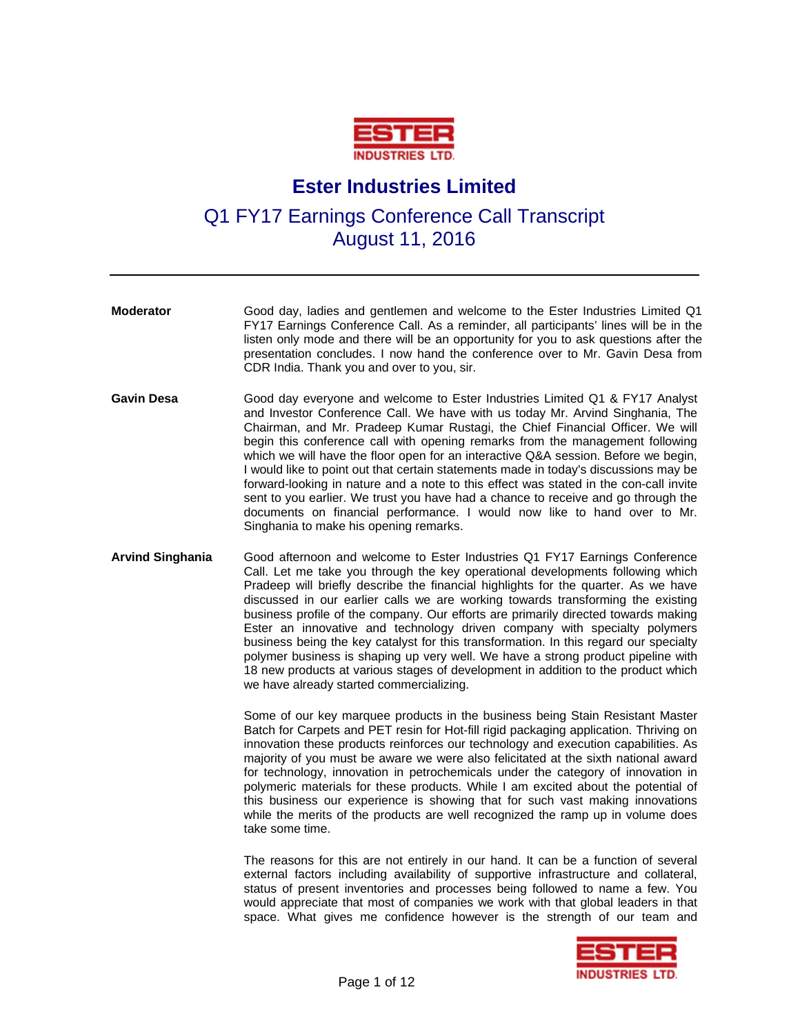

## **Ester Industries Limited**

Q1 FY17 Earnings Conference Call Transcript August 11, 2016

- **Moderator** Good day, ladies and gentlemen and welcome to the Ester Industries Limited Q1 FY17 Earnings Conference Call. As a reminder, all participants' lines will be in the listen only mode and there will be an opportunity for you to ask questions after the presentation concludes. I now hand the conference over to Mr. Gavin Desa from CDR India. Thank you and over to you, sir. **Gavin Desa** Good day everyone and welcome to Ester Industries Limited Q1 & FY17 Analyst and Investor Conference Call. We have with us today Mr. Arvind Singhania, The Chairman, and Mr. Pradeep Kumar Rustagi, the Chief Financial Officer. We will begin this conference call with opening remarks from the management following which we will have the floor open for an interactive Q&A session. Before we begin, I would like to point out that certain statements made in today's discussions may be forward-looking in nature and a note to this effect was stated in the con-call invite sent to you earlier. We trust you have had a chance to receive and go through the documents on financial performance. I would now like to hand over to Mr. Singhania to make his opening remarks. **Arvind Singhania** Good afternoon and welcome to Ester Industries Q1 FY17 Earnings Conference
- Call. Let me take you through the key operational developments following which Pradeep will briefly describe the financial highlights for the quarter. As we have discussed in our earlier calls we are working towards transforming the existing business profile of the company. Our efforts are primarily directed towards making Ester an innovative and technology driven company with specialty polymers business being the key catalyst for this transformation. In this regard our specialty polymer business is shaping up very well. We have a strong product pipeline with 18 new products at various stages of development in addition to the product which we have already started commercializing.

 Some of our key marquee products in the business being Stain Resistant Master Batch for Carpets and PET resin for Hot-fill rigid packaging application. Thriving on innovation these products reinforces our technology and execution capabilities. As majority of you must be aware we were also felicitated at the sixth national award for technology, innovation in petrochemicals under the category of innovation in polymeric materials for these products. While I am excited about the potential of this business our experience is showing that for such vast making innovations while the merits of the products are well recognized the ramp up in volume does take some time.

 The reasons for this are not entirely in our hand. It can be a function of several external factors including availability of supportive infrastructure and collateral, status of present inventories and processes being followed to name a few. You would appreciate that most of companies we work with that global leaders in that space. What gives me confidence however is the strength of our team and

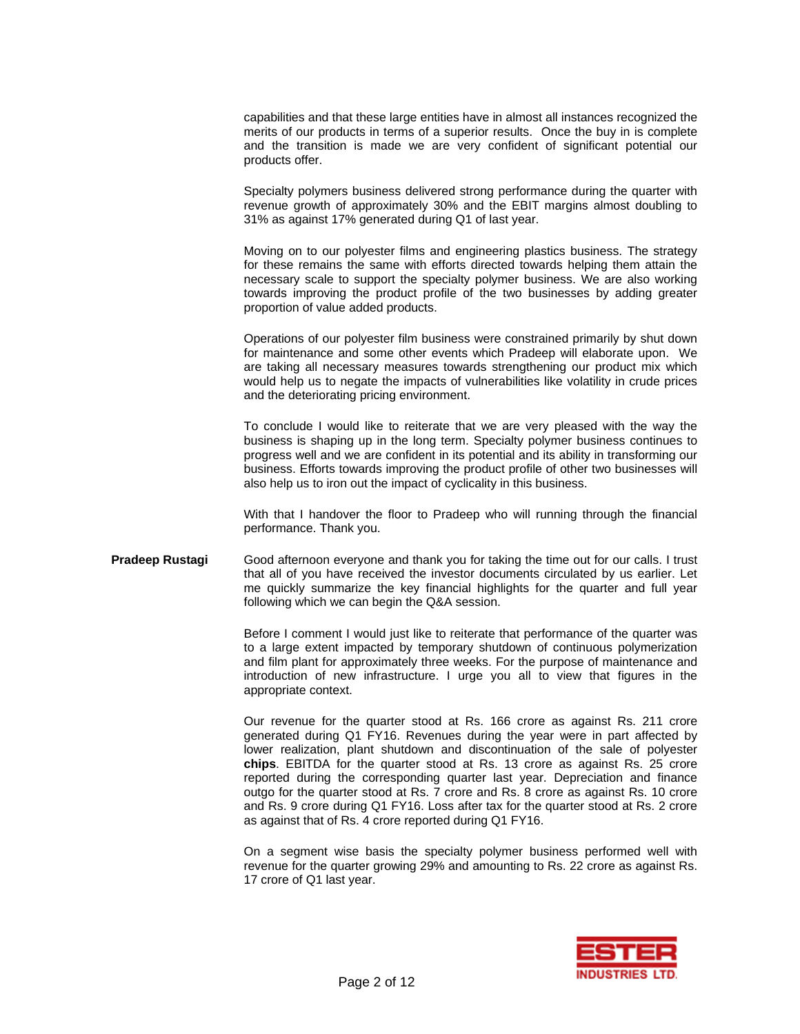capabilities and that these large entities have in almost all instances recognized the merits of our products in terms of a superior results. Once the buy in is complete and the transition is made we are very confident of significant potential our products offer.

 Specialty polymers business delivered strong performance during the quarter with revenue growth of approximately 30% and the EBIT margins almost doubling to 31% as against 17% generated during Q1 of last year.

 Moving on to our polyester films and engineering plastics business. The strategy for these remains the same with efforts directed towards helping them attain the necessary scale to support the specialty polymer business. We are also working towards improving the product profile of the two businesses by adding greater proportion of value added products.

 Operations of our polyester film business were constrained primarily by shut down for maintenance and some other events which Pradeep will elaborate upon. We are taking all necessary measures towards strengthening our product mix which would help us to negate the impacts of vulnerabilities like volatility in crude prices and the deteriorating pricing environment.

 To conclude I would like to reiterate that we are very pleased with the way the business is shaping up in the long term. Specialty polymer business continues to progress well and we are confident in its potential and its ability in transforming our business. Efforts towards improving the product profile of other two businesses will also help us to iron out the impact of cyclicality in this business.

 With that I handover the floor to Pradeep who will running through the financial performance. Thank you.

**Pradeep Rustagi** Good afternoon everyone and thank you for taking the time out for our calls. I trust that all of you have received the investor documents circulated by us earlier. Let me quickly summarize the key financial highlights for the quarter and full year following which we can begin the Q&A session.

> Before I comment I would just like to reiterate that performance of the quarter was to a large extent impacted by temporary shutdown of continuous polymerization and film plant for approximately three weeks. For the purpose of maintenance and introduction of new infrastructure. I urge you all to view that figures in the appropriate context.

> Our revenue for the quarter stood at Rs. 166 crore as against Rs. 211 crore generated during Q1 FY16. Revenues during the year were in part affected by lower realization, plant shutdown and discontinuation of the sale of polyester **chips**. EBITDA for the quarter stood at Rs. 13 crore as against Rs. 25 crore reported during the corresponding quarter last year. Depreciation and finance outgo for the quarter stood at Rs. 7 crore and Rs. 8 crore as against Rs. 10 crore and Rs. 9 crore during Q1 FY16. Loss after tax for the quarter stood at Rs. 2 crore as against that of Rs. 4 crore reported during Q1 FY16.

> On a segment wise basis the specialty polymer business performed well with revenue for the quarter growing 29% and amounting to Rs. 22 crore as against Rs. 17 crore of Q1 last year.

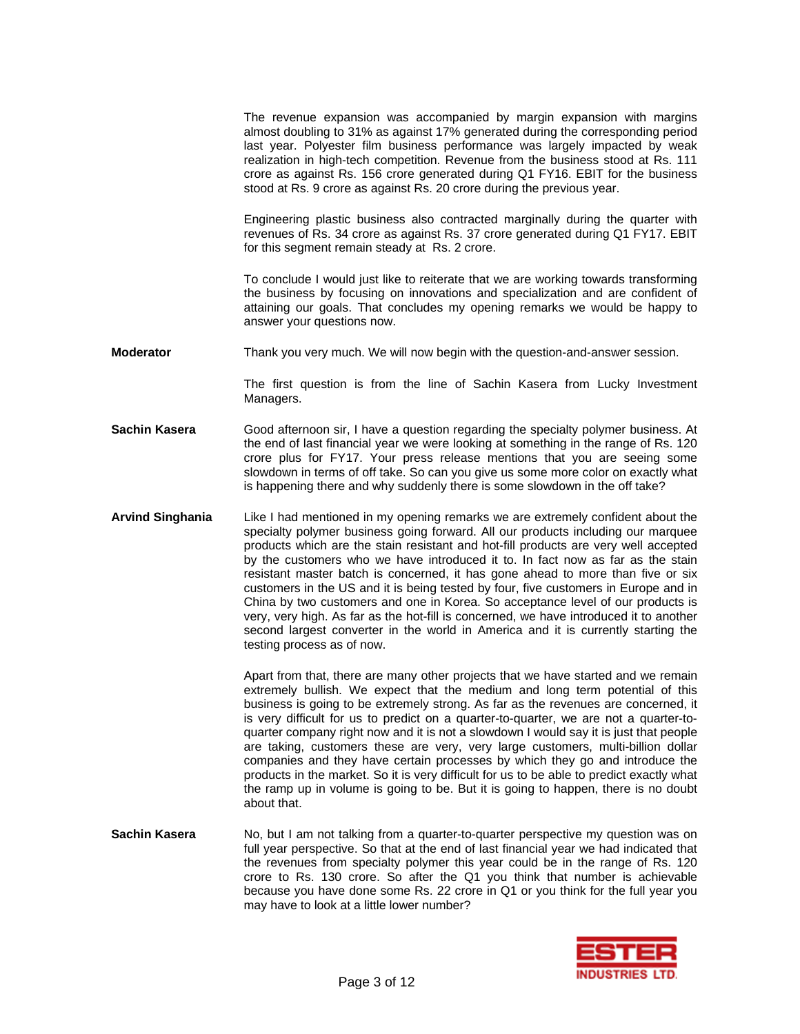The revenue expansion was accompanied by margin expansion with margins almost doubling to 31% as against 17% generated during the corresponding period last year. Polyester film business performance was largely impacted by weak realization in high-tech competition. Revenue from the business stood at Rs. 111 crore as against Rs. 156 crore generated during Q1 FY16. EBIT for the business stood at Rs. 9 crore as against Rs. 20 crore during the previous year.

 Engineering plastic business also contracted marginally during the quarter with revenues of Rs. 34 crore as against Rs. 37 crore generated during Q1 FY17. EBIT for this segment remain steady at Rs. 2 crore.

 To conclude I would just like to reiterate that we are working towards transforming the business by focusing on innovations and specialization and are confident of attaining our goals. That concludes my opening remarks we would be happy to answer your questions now.

**Moderator** Thank you very much. We will now begin with the question-and-answer session.

The first question is from the line of Sachin Kasera from Lucky Investment Managers.

- **Sachin Kasera** Good afternoon sir, I have a question regarding the specialty polymer business. At the end of last financial year we were looking at something in the range of Rs. 120 crore plus for FY17. Your press release mentions that you are seeing some slowdown in terms of off take. So can you give us some more color on exactly what is happening there and why suddenly there is some slowdown in the off take?
- **Arvind Singhania** Like I had mentioned in my opening remarks we are extremely confident about the specialty polymer business going forward. All our products including our marquee products which are the stain resistant and hot-fill products are very well accepted by the customers who we have introduced it to. In fact now as far as the stain resistant master batch is concerned, it has gone ahead to more than five or six customers in the US and it is being tested by four, five customers in Europe and in China by two customers and one in Korea. So acceptance level of our products is very, very high. As far as the hot-fill is concerned, we have introduced it to another second largest converter in the world in America and it is currently starting the testing process as of now.

Apart from that, there are many other projects that we have started and we remain extremely bullish. We expect that the medium and long term potential of this business is going to be extremely strong. As far as the revenues are concerned, it is very difficult for us to predict on a quarter-to-quarter, we are not a quarter-toquarter company right now and it is not a slowdown I would say it is just that people are taking, customers these are very, very large customers, multi-billion dollar companies and they have certain processes by which they go and introduce the products in the market. So it is very difficult for us to be able to predict exactly what the ramp up in volume is going to be. But it is going to happen, there is no doubt about that.

**Sachin Kasera** No, but I am not talking from a quarter-to-quarter perspective my question was on full year perspective. So that at the end of last financial year we had indicated that the revenues from specialty polymer this year could be in the range of Rs. 120 crore to Rs. 130 crore. So after the Q1 you think that number is achievable because you have done some Rs. 22 crore in Q1 or you think for the full year you may have to look at a little lower number?

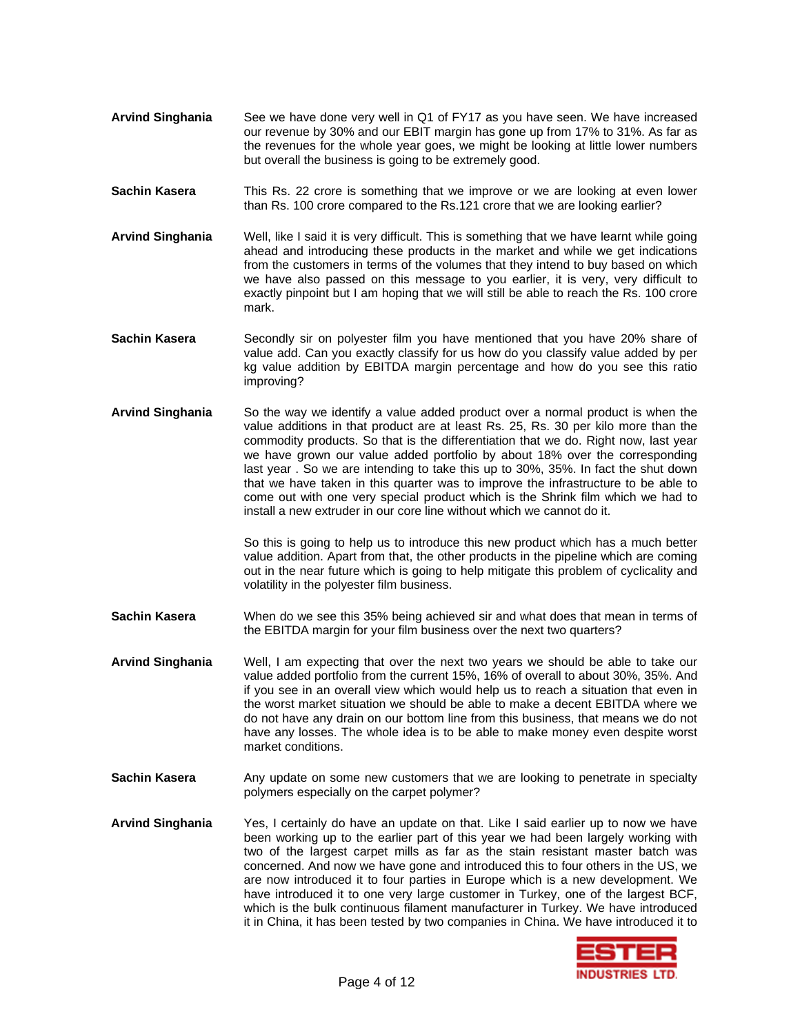- **Arvind Singhania** See we have done very well in Q1 of FY17 as you have seen. We have increased our revenue by 30% and our EBIT margin has gone up from 17% to 31%. As far as the revenues for the whole year goes, we might be looking at little lower numbers but overall the business is going to be extremely good.
- **Sachin Kasera** This Rs. 22 crore is something that we improve or we are looking at even lower than Rs. 100 crore compared to the Rs.121 crore that we are looking earlier?
- **Arvind Singhania** Well, like I said it is very difficult. This is something that we have learnt while going ahead and introducing these products in the market and while we get indications from the customers in terms of the volumes that they intend to buy based on which we have also passed on this message to you earlier, it is very, very difficult to exactly pinpoint but I am hoping that we will still be able to reach the Rs. 100 crore mark.
- **Sachin Kasera** Secondly sir on polyester film you have mentioned that you have 20% share of value add. Can you exactly classify for us how do you classify value added by per kg value addition by EBITDA margin percentage and how do you see this ratio improving?
- **Arvind Singhania** So the way we identify a value added product over a normal product is when the value additions in that product are at least Rs. 25, Rs. 30 per kilo more than the commodity products. So that is the differentiation that we do. Right now, last year we have grown our value added portfolio by about 18% over the corresponding last year . So we are intending to take this up to 30%, 35%. In fact the shut down that we have taken in this quarter was to improve the infrastructure to be able to come out with one very special product which is the Shrink film which we had to install a new extruder in our core line without which we cannot do it.

So this is going to help us to introduce this new product which has a much better value addition. Apart from that, the other products in the pipeline which are coming out in the near future which is going to help mitigate this problem of cyclicality and volatility in the polyester film business.

- **Sachin Kasera** When do we see this 35% being achieved sir and what does that mean in terms of the EBITDA margin for your film business over the next two quarters?
- **Arvind Singhania** Well, I am expecting that over the next two years we should be able to take our value added portfolio from the current 15%, 16% of overall to about 30%, 35%. And if you see in an overall view which would help us to reach a situation that even in the worst market situation we should be able to make a decent EBITDA where we do not have any drain on our bottom line from this business, that means we do not have any losses. The whole idea is to be able to make money even despite worst market conditions.
- **Sachin Kasera** Any update on some new customers that we are looking to penetrate in specialty polymers especially on the carpet polymer?
- **Arvind Singhania** Yes, I certainly do have an update on that. Like I said earlier up to now we have been working up to the earlier part of this year we had been largely working with two of the largest carpet mills as far as the stain resistant master batch was concerned. And now we have gone and introduced this to four others in the US, we are now introduced it to four parties in Europe which is a new development. We have introduced it to one very large customer in Turkey, one of the largest BCF, which is the bulk continuous filament manufacturer in Turkey. We have introduced it in China, it has been tested by two companies in China. We have introduced it to

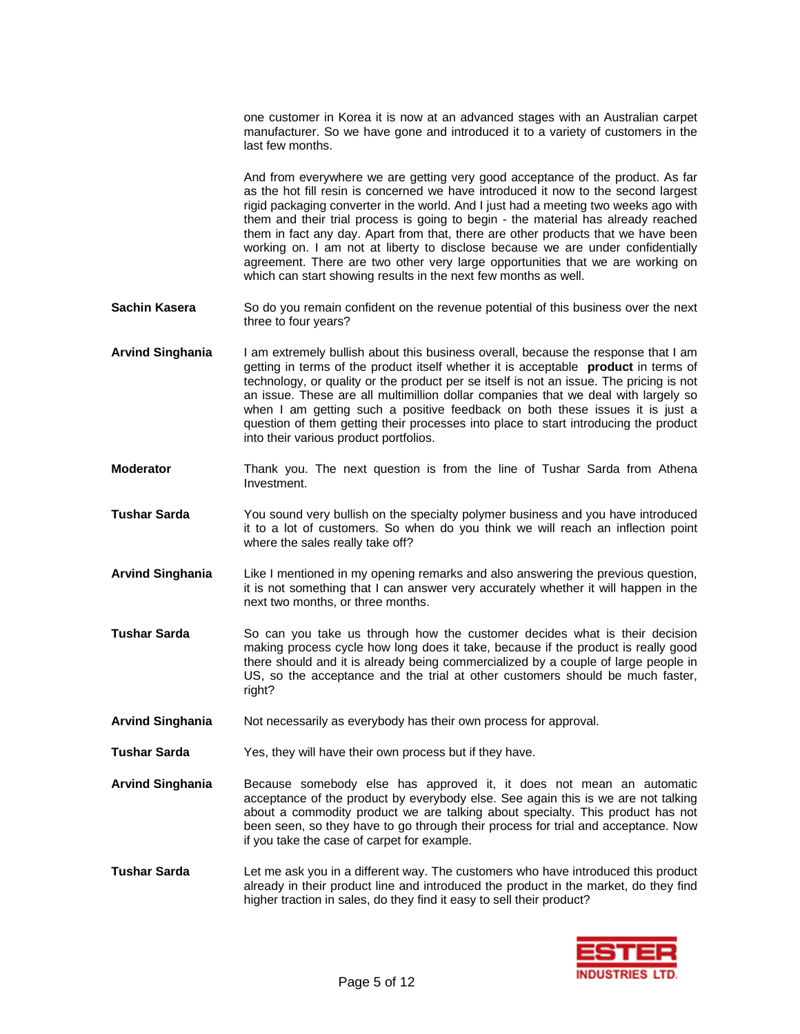one customer in Korea it is now at an advanced stages with an Australian carpet manufacturer. So we have gone and introduced it to a variety of customers in the last few months.

And from everywhere we are getting very good acceptance of the product. As far as the hot fill resin is concerned we have introduced it now to the second largest rigid packaging converter in the world. And I just had a meeting two weeks ago with them and their trial process is going to begin - the material has already reached them in fact any day. Apart from that, there are other products that we have been working on. I am not at liberty to disclose because we are under confidentially agreement. There are two other very large opportunities that we are working on which can start showing results in the next few months as well.

- **Sachin Kasera** So do you remain confident on the revenue potential of this business over the next three to four years?
- **Arvind Singhania** I am extremely bullish about this business overall, because the response that I am getting in terms of the product itself whether it is acceptable **product** in terms of technology, or quality or the product per se itself is not an issue. The pricing is not an issue. These are all multimillion dollar companies that we deal with largely so when I am getting such a positive feedback on both these issues it is just a question of them getting their processes into place to start introducing the product into their various product portfolios.
- **Moderator** Thank you. The next question is from the line of Tushar Sarda from Athena Investment.
- **Tushar Sarda** You sound very bullish on the specialty polymer business and you have introduced it to a lot of customers. So when do you think we will reach an inflection point where the sales really take off?
- **Arvind Singhania** Like I mentioned in my opening remarks and also answering the previous question, it is not something that I can answer very accurately whether it will happen in the next two months, or three months.
- **Tushar Sarda** So can you take us through how the customer decides what is their decision making process cycle how long does it take, because if the product is really good there should and it is already being commercialized by a couple of large people in US, so the acceptance and the trial at other customers should be much faster, right?
- **Arvind Singhania** Not necessarily as everybody has their own process for approval.
- **Tushar Sarda** Yes, they will have their own process but if they have.
- **Arvind Singhania** Because somebody else has approved it, it does not mean an automatic acceptance of the product by everybody else. See again this is we are not talking about a commodity product we are talking about specialty. This product has not been seen, so they have to go through their process for trial and acceptance. Now if you take the case of carpet for example.
- **Tushar Sarda** Let me ask you in a different way. The customers who have introduced this product already in their product line and introduced the product in the market, do they find higher traction in sales, do they find it easy to sell their product?

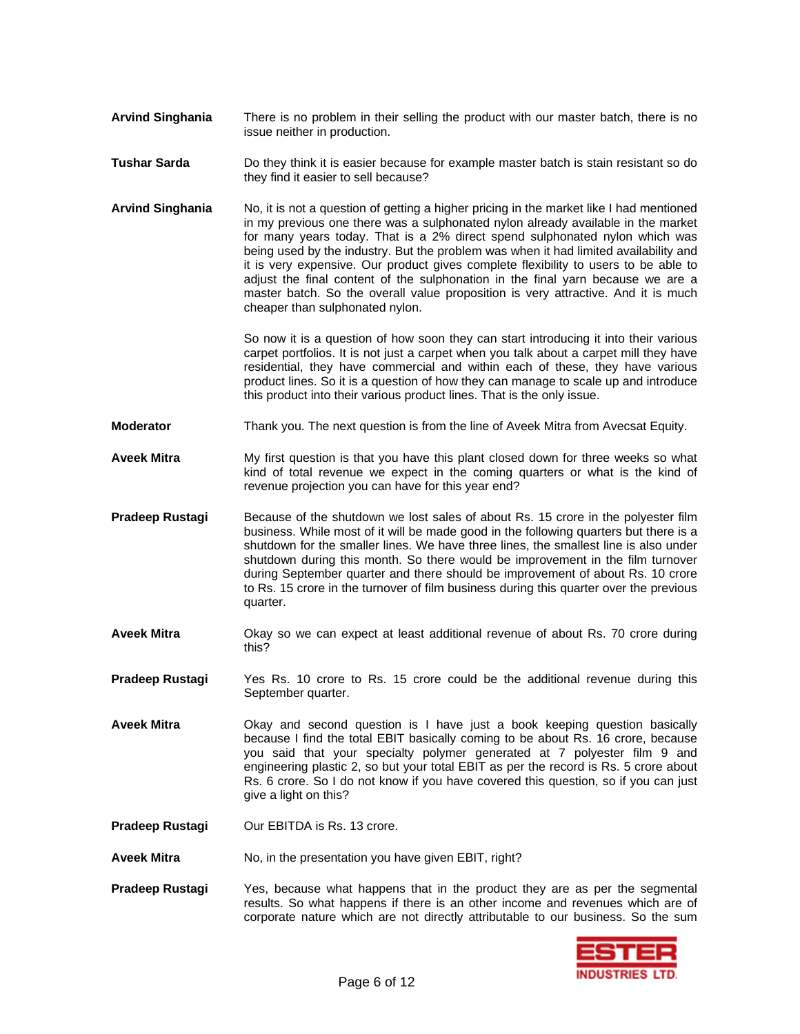- **Arvind Singhania** There is no problem in their selling the product with our master batch, there is no issue neither in production.
- **Tushar Sarda** Do they think it is easier because for example master batch is stain resistant so do they find it easier to sell because?
- **Arvind Singhania** No, it is not a question of getting a higher pricing in the market like I had mentioned in my previous one there was a sulphonated nylon already available in the market for many years today. That is a 2% direct spend sulphonated nylon which was being used by the industry. But the problem was when it had limited availability and it is very expensive. Our product gives complete flexibility to users to be able to adjust the final content of the sulphonation in the final yarn because we are a master batch. So the overall value proposition is very attractive. And it is much cheaper than sulphonated nylon.

So now it is a question of how soon they can start introducing it into their various carpet portfolios. It is not just a carpet when you talk about a carpet mill they have residential, they have commercial and within each of these, they have various product lines. So it is a question of how they can manage to scale up and introduce this product into their various product lines. That is the only issue.

- **Moderator** Thank you. The next question is from the line of Aveek Mitra from Avecsat Equity.
- **Aveek Mitra** My first question is that you have this plant closed down for three weeks so what kind of total revenue we expect in the coming quarters or what is the kind of revenue projection you can have for this year end?
- **Pradeep Rustagi** Because of the shutdown we lost sales of about Rs. 15 crore in the polyester film business. While most of it will be made good in the following quarters but there is a shutdown for the smaller lines. We have three lines, the smallest line is also under shutdown during this month. So there would be improvement in the film turnover during September quarter and there should be improvement of about Rs. 10 crore to Rs. 15 crore in the turnover of film business during this quarter over the previous quarter.
- **Aveek Mitra** Okay so we can expect at least additional revenue of about Rs. 70 crore during this?
- **Pradeep Rustagi** Yes Rs. 10 crore to Rs. 15 crore could be the additional revenue during this September quarter.
- **Aveek Mitra** Okay and second question is I have just a book keeping question basically because I find the total EBIT basically coming to be about Rs. 16 crore, because you said that your specialty polymer generated at 7 polyester film 9 and engineering plastic 2, so but your total EBIT as per the record is Rs. 5 crore about Rs. 6 crore. So I do not know if you have covered this question, so if you can just give a light on this?
- **Pradeep Rustagi Our EBITDA is Rs. 13 crore.**
- **Aveek Mitra** No, in the presentation you have given EBIT, right?
- **Pradeep Rustagi** Yes, because what happens that in the product they are as per the segmental results. So what happens if there is an other income and revenues which are of corporate nature which are not directly attributable to our business. So the sum

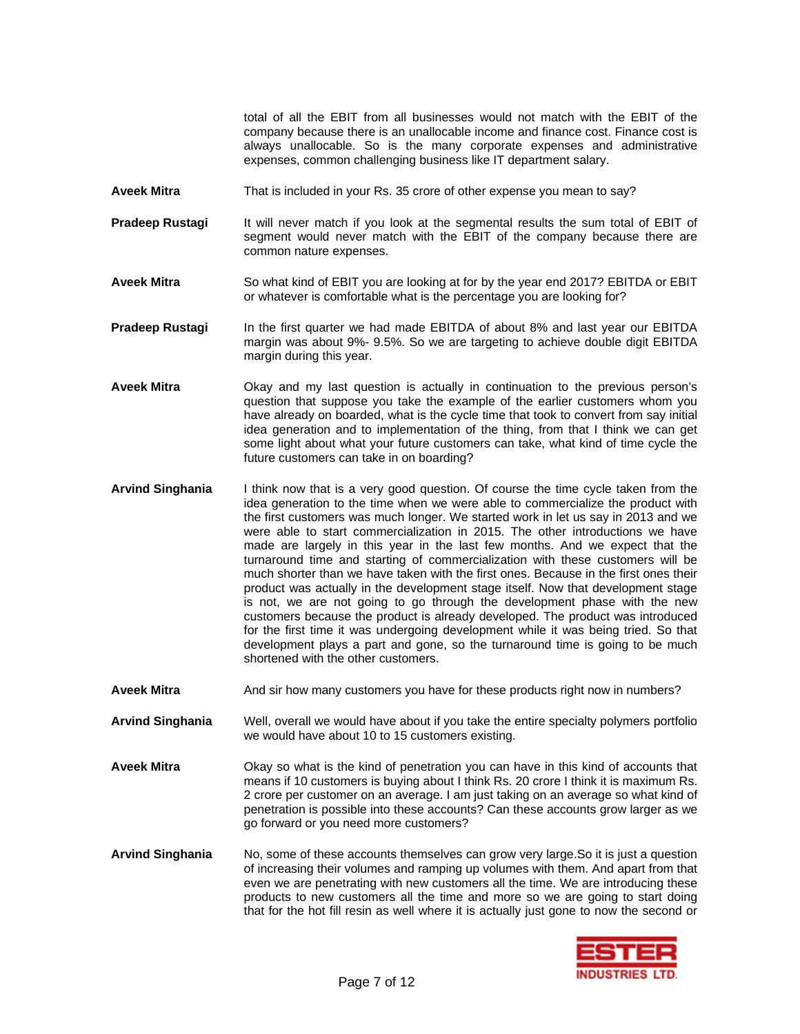total of all the EBIT from all businesses would not match with the EBIT of the company because there is an unallocable income and finance cost. Finance cost is always unallocable. So is the many corporate expenses and administrative expenses, common challenging business like IT department salary.

- **Aveek Mitra** That is included in your Rs. 35 crore of other expense you mean to say?
- **Pradeep Rustagi** It will never match if you look at the segmental results the sum total of EBIT of segment would never match with the EBIT of the company because there are common nature expenses.
- **Aveek Mitra** So what kind of EBIT you are looking at for by the year end 2017? EBITDA or EBIT or whatever is comfortable what is the percentage you are looking for?
- **Pradeep Rustagi** In the first quarter we had made EBITDA of about 8% and last year our EBITDA margin was about 9%- 9.5%. So we are targeting to achieve double digit EBITDA margin during this year.
- **Aveek Mitra** Okay and my last question is actually in continuation to the previous person's question that suppose you take the example of the earlier customers whom you have already on boarded, what is the cycle time that took to convert from say initial idea generation and to implementation of the thing, from that I think we can get some light about what your future customers can take, what kind of time cycle the future customers can take in on boarding?
- **Arvind Singhania** I think now that is a very good question. Of course the time cycle taken from the idea generation to the time when we were able to commercialize the product with the first customers was much longer. We started work in let us say in 2013 and we were able to start commercialization in 2015. The other introductions we have made are largely in this year in the last few months. And we expect that the turnaround time and starting of commercialization with these customers will be much shorter than we have taken with the first ones. Because in the first ones their product was actually in the development stage itself. Now that development stage is not, we are not going to go through the development phase with the new customers because the product is already developed. The product was introduced for the first time it was undergoing development while it was being tried. So that development plays a part and gone, so the turnaround time is going to be much shortened with the other customers.
- Aveek Mitra **And sir how many customers you have for these products right now in numbers?**

**Arvind Singhania** Well, overall we would have about if you take the entire specialty polymers portfolio we would have about 10 to 15 customers existing.

- **Aveek Mitra** Okay so what is the kind of penetration you can have in this kind of accounts that means if 10 customers is buying about I think Rs. 20 crore I think it is maximum Rs. 2 crore per customer on an average. I am just taking on an average so what kind of penetration is possible into these accounts? Can these accounts grow larger as we go forward or you need more customers?
- **Arvind Singhania** No, some of these accounts themselves can grow very large.So it is just a question of increasing their volumes and ramping up volumes with them. And apart from that even we are penetrating with new customers all the time. We are introducing these products to new customers all the time and more so we are going to start doing that for the hot fill resin as well where it is actually just gone to now the second or

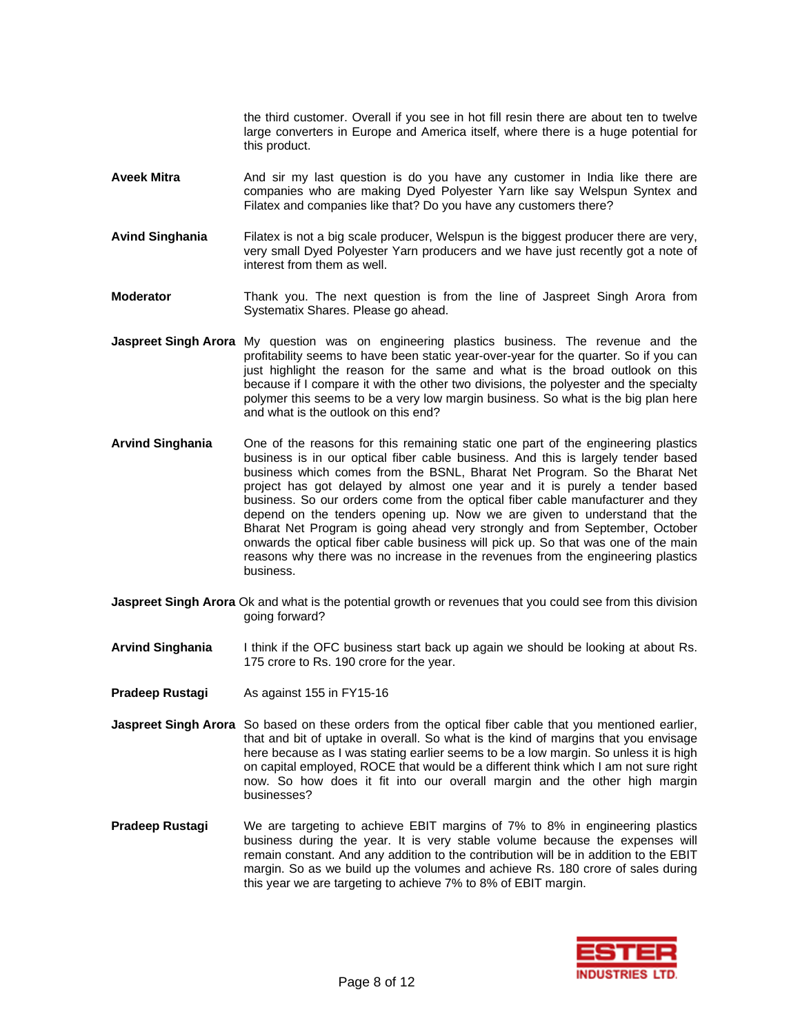the third customer. Overall if you see in hot fill resin there are about ten to twelve large converters in Europe and America itself, where there is a huge potential for this product.

- **Aveek Mitra** And sir my last question is do you have any customer in India like there are companies who are making Dyed Polyester Yarn like say Welspun Syntex and Filatex and companies like that? Do you have any customers there?
- **Avind Singhania** Filatex is not a big scale producer, Welspun is the biggest producer there are very, very small Dyed Polyester Yarn producers and we have just recently got a note of interest from them as well.
- **Moderator** Thank you. The next question is from the line of Jaspreet Singh Arora from Systematix Shares. Please go ahead.
- **Jaspreet Singh Arora** My question was on engineering plastics business. The revenue and the profitability seems to have been static year-over-year for the quarter. So if you can just highlight the reason for the same and what is the broad outlook on this because if I compare it with the other two divisions, the polyester and the specialty polymer this seems to be a very low margin business. So what is the big plan here and what is the outlook on this end?
- **Arvind Singhania** One of the reasons for this remaining static one part of the engineering plastics business is in our optical fiber cable business. And this is largely tender based business which comes from the BSNL, Bharat Net Program. So the Bharat Net project has got delayed by almost one year and it is purely a tender based business. So our orders come from the optical fiber cable manufacturer and they depend on the tenders opening up. Now we are given to understand that the Bharat Net Program is going ahead very strongly and from September, October onwards the optical fiber cable business will pick up. So that was one of the main reasons why there was no increase in the revenues from the engineering plastics business.
- **Jaspreet Singh Arora** Ok and what is the potential growth or revenues that you could see from this division going forward?
- **Arvind Singhania** I think if the OFC business start back up again we should be looking at about Rs. 175 crore to Rs. 190 crore for the year.
- **Pradeep Rustagi** As against 155 in FY15-16
- **Jaspreet Singh Arora** So based on these orders from the optical fiber cable that you mentioned earlier, that and bit of uptake in overall. So what is the kind of margins that you envisage here because as I was stating earlier seems to be a low margin. So unless it is high on capital employed, ROCE that would be a different think which I am not sure right now. So how does it fit into our overall margin and the other high margin businesses?
- **Pradeep Rustagi** We are targeting to achieve EBIT margins of 7% to 8% in engineering plastics business during the year. It is very stable volume because the expenses will remain constant. And any addition to the contribution will be in addition to the EBIT margin. So as we build up the volumes and achieve Rs. 180 crore of sales during this year we are targeting to achieve 7% to 8% of EBIT margin.

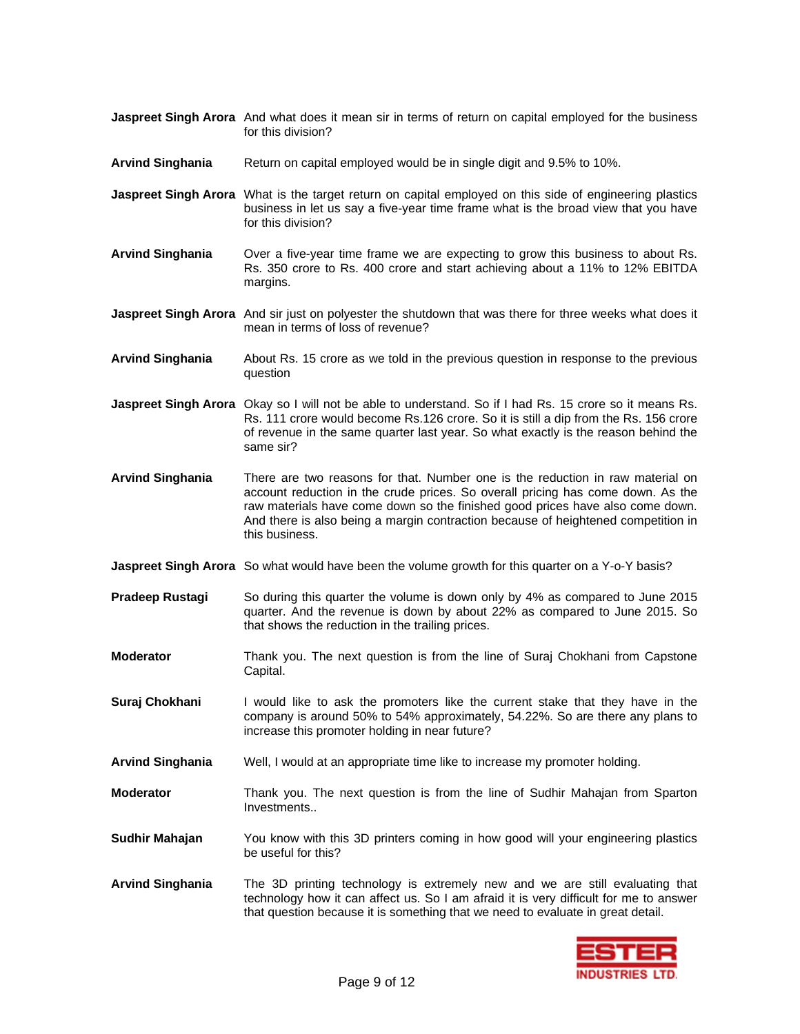- **Jaspreet Singh Arora** And what does it mean sir in terms of return on capital employed for the business for this division?
- **Arvind Singhania** Return on capital employed would be in single digit and 9.5% to 10%.
- **Jaspreet Singh Arora** What is the target return on capital employed on this side of engineering plastics business in let us say a five-year time frame what is the broad view that you have for this division?
- **Arvind Singhania** Over a five-year time frame we are expecting to grow this business to about Rs. Rs. 350 crore to Rs. 400 crore and start achieving about a 11% to 12% EBITDA margins.
- **Jaspreet Singh Arora** And sir just on polyester the shutdown that was there for three weeks what does it mean in terms of loss of revenue?
- **Arvind Singhania** About Rs. 15 crore as we told in the previous question in response to the previous question
- **Jaspreet Singh Arora** Okay so I will not be able to understand. So if I had Rs. 15 crore so it means Rs. Rs. 111 crore would become Rs.126 crore. So it is still a dip from the Rs. 156 crore of revenue in the same quarter last year. So what exactly is the reason behind the same sir?
- **Arvind Singhania** There are two reasons for that. Number one is the reduction in raw material on account reduction in the crude prices. So overall pricing has come down. As the raw materials have come down so the finished good prices have also come down. And there is also being a margin contraction because of heightened competition in this business.
- **Jaspreet Singh Arora** So what would have been the volume growth for this quarter on a Y-o-Y basis?
- **Pradeep Rustagi** So during this quarter the volume is down only by 4% as compared to June 2015 quarter. And the revenue is down by about 22% as compared to June 2015. So that shows the reduction in the trailing prices.
- **Moderator** Thank you. The next question is from the line of Suraj Chokhani from Capstone Capital.
- **Suraj Chokhani** I would like to ask the promoters like the current stake that they have in the company is around 50% to 54% approximately, 54.22%. So are there any plans to increase this promoter holding in near future?
- **Arvind Singhania** Well, I would at an appropriate time like to increase my promoter holding.
- **Moderator** Thank you. The next question is from the line of Sudhir Mahajan from Sparton Investments..
- **Sudhir Mahajan** You know with this 3D printers coming in how good will your engineering plastics be useful for this?
- **Arvind Singhania** The 3D printing technology is extremely new and we are still evaluating that technology how it can affect us. So I am afraid it is very difficult for me to answer that question because it is something that we need to evaluate in great detail.

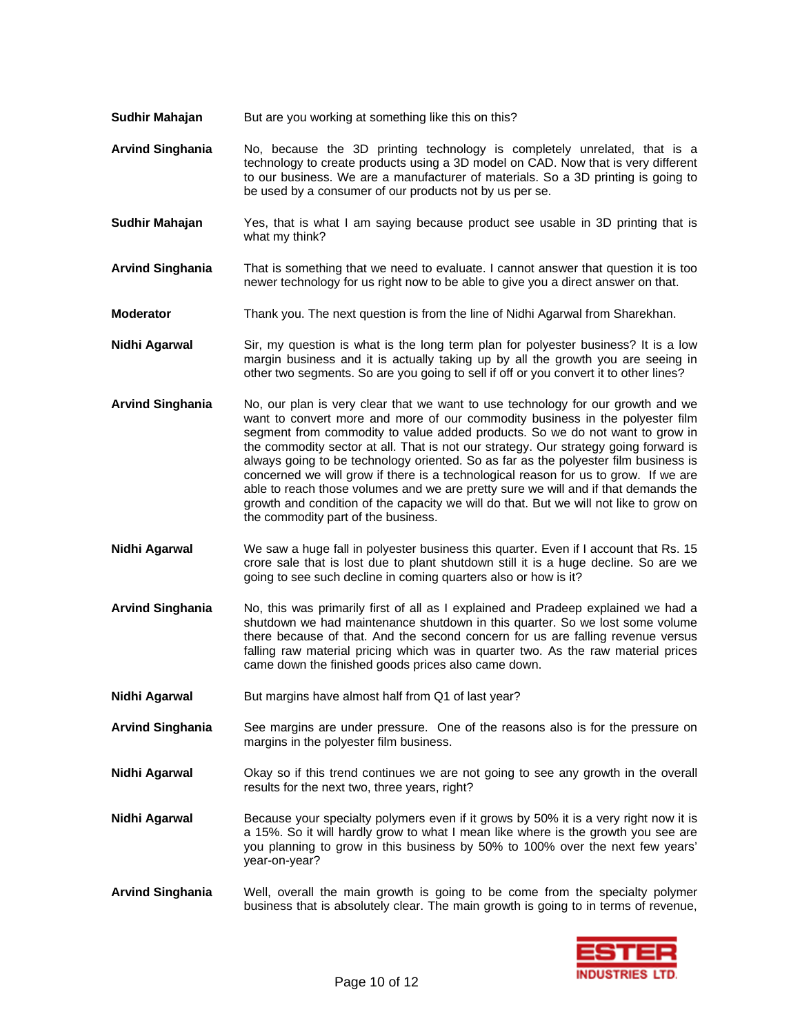- **Sudhir Mahajan** But are you working at something like this on this?
- **Arvind Singhania** No, because the 3D printing technology is completely unrelated, that is a technology to create products using a 3D model on CAD. Now that is very different to our business. We are a manufacturer of materials. So a 3D printing is going to be used by a consumer of our products not by us per se.
- **Sudhir Mahajan** Yes, that is what I am saying because product see usable in 3D printing that is what my think?
- **Arvind Singhania** That is something that we need to evaluate. I cannot answer that question it is too newer technology for us right now to be able to give you a direct answer on that.
- **Moderator** Thank you. The next question is from the line of Nidhi Agarwal from Sharekhan.
- **Nidhi Agarwal** Sir, my question is what is the long term plan for polyester business? It is a low margin business and it is actually taking up by all the growth you are seeing in other two segments. So are you going to sell if off or you convert it to other lines?
- **Arvind Singhania** No, our plan is very clear that we want to use technology for our growth and we want to convert more and more of our commodity business in the polyester film segment from commodity to value added products. So we do not want to grow in the commodity sector at all. That is not our strategy. Our strategy going forward is always going to be technology oriented. So as far as the polyester film business is concerned we will grow if there is a technological reason for us to grow. If we are able to reach those volumes and we are pretty sure we will and if that demands the growth and condition of the capacity we will do that. But we will not like to grow on the commodity part of the business.
- **Nidhi Agarwal** We saw a huge fall in polyester business this quarter. Even if I account that Rs. 15 crore sale that is lost due to plant shutdown still it is a huge decline. So are we going to see such decline in coming quarters also or how is it?
- **Arvind Singhania** No, this was primarily first of all as I explained and Pradeep explained we had a shutdown we had maintenance shutdown in this quarter. So we lost some volume there because of that. And the second concern for us are falling revenue versus falling raw material pricing which was in quarter two. As the raw material prices came down the finished goods prices also came down.
- **Nidhi Agarwal But margins have almost half from Q1 of last year?**
- **Arvind Singhania** See margins are under pressure. One of the reasons also is for the pressure on margins in the polyester film business.
- **Nidhi Agarwal** Okay so if this trend continues we are not going to see any growth in the overall results for the next two, three years, right?
- **Nidhi Agarwal** Because your specialty polymers even if it grows by 50% it is a very right now it is a 15%. So it will hardly grow to what I mean like where is the growth you see are you planning to grow in this business by 50% to 100% over the next few years' year-on-year?
- **Arvind Singhania** Well, overall the main growth is going to be come from the specialty polymer business that is absolutely clear. The main growth is going to in terms of revenue,

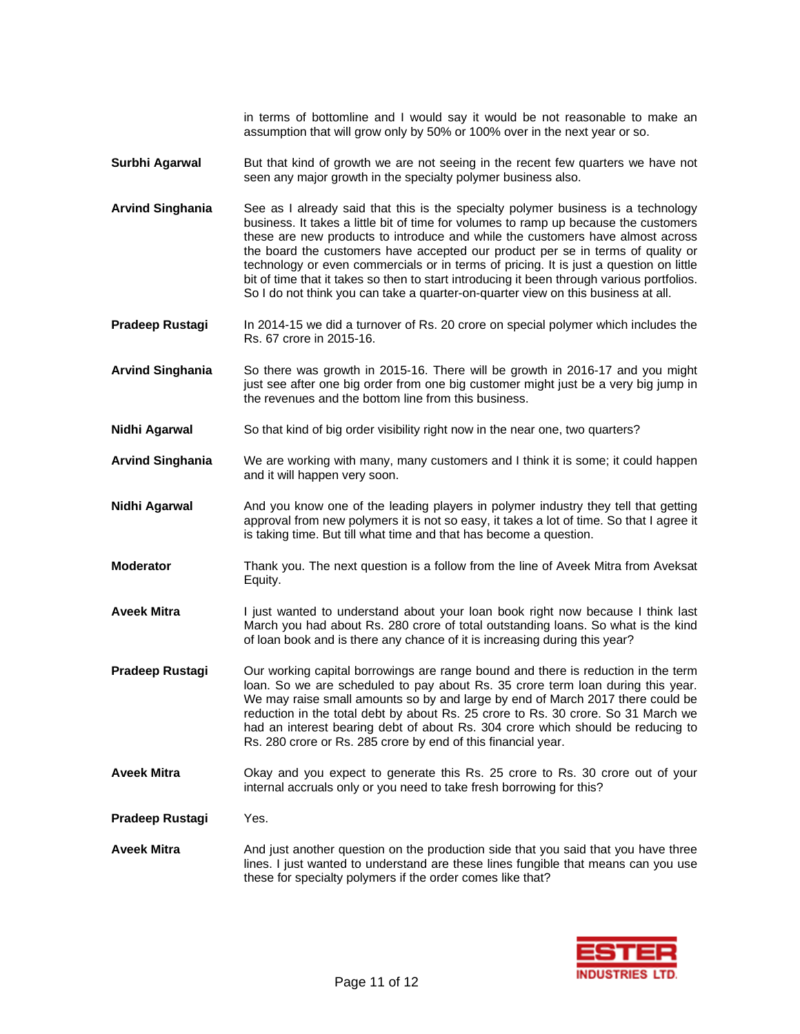in terms of bottomline and I would say it would be not reasonable to make an assumption that will grow only by 50% or 100% over in the next year or so.

- **Surbhi Agarwal** But that kind of growth we are not seeing in the recent few quarters we have not seen any major growth in the specialty polymer business also.
- **Arvind Singhania** See as I already said that this is the specialty polymer business is a technology business. It takes a little bit of time for volumes to ramp up because the customers these are new products to introduce and while the customers have almost across the board the customers have accepted our product per se in terms of quality or technology or even commercials or in terms of pricing. It is just a question on little bit of time that it takes so then to start introducing it been through various portfolios. So I do not think you can take a quarter-on-quarter view on this business at all.
- **Pradeep Rustagi** In 2014-15 we did a turnover of Rs. 20 crore on special polymer which includes the Rs. 67 crore in 2015-16.
- **Arvind Singhania** So there was growth in 2015-16. There will be growth in 2016-17 and you might just see after one big order from one big customer might just be a very big jump in the revenues and the bottom line from this business.
- **Nidhi Agarwal** So that kind of big order visibility right now in the near one, two quarters?
- **Arvind Singhania** We are working with many, many customers and I think it is some; it could happen and it will happen very soon.
- **Nidhi Agarwal** And you know one of the leading players in polymer industry they tell that getting approval from new polymers it is not so easy, it takes a lot of time. So that I agree it is taking time. But till what time and that has become a question.
- **Moderator** Thank you. The next question is a follow from the line of Aveek Mitra from Aveksat Equity.
- Aveek Mitra **I** just wanted to understand about your loan book right now because I think last March you had about Rs. 280 crore of total outstanding loans. So what is the kind of loan book and is there any chance of it is increasing during this year?
- **Pradeep Rustagi** Our working capital borrowings are range bound and there is reduction in the term loan. So we are scheduled to pay about Rs. 35 crore term loan during this year. We may raise small amounts so by and large by end of March 2017 there could be reduction in the total debt by about Rs. 25 crore to Rs. 30 crore. So 31 March we had an interest bearing debt of about Rs. 304 crore which should be reducing to Rs. 280 crore or Rs. 285 crore by end of this financial year.
- **Aveek Mitra** Okay and you expect to generate this Rs. 25 crore to Rs. 30 crore out of your internal accruals only or you need to take fresh borrowing for this?
- **Pradeep Rustagi** Yes.
- **Aveek Mitra** And just another question on the production side that you said that you have three lines. I just wanted to understand are these lines fungible that means can you use these for specialty polymers if the order comes like that?